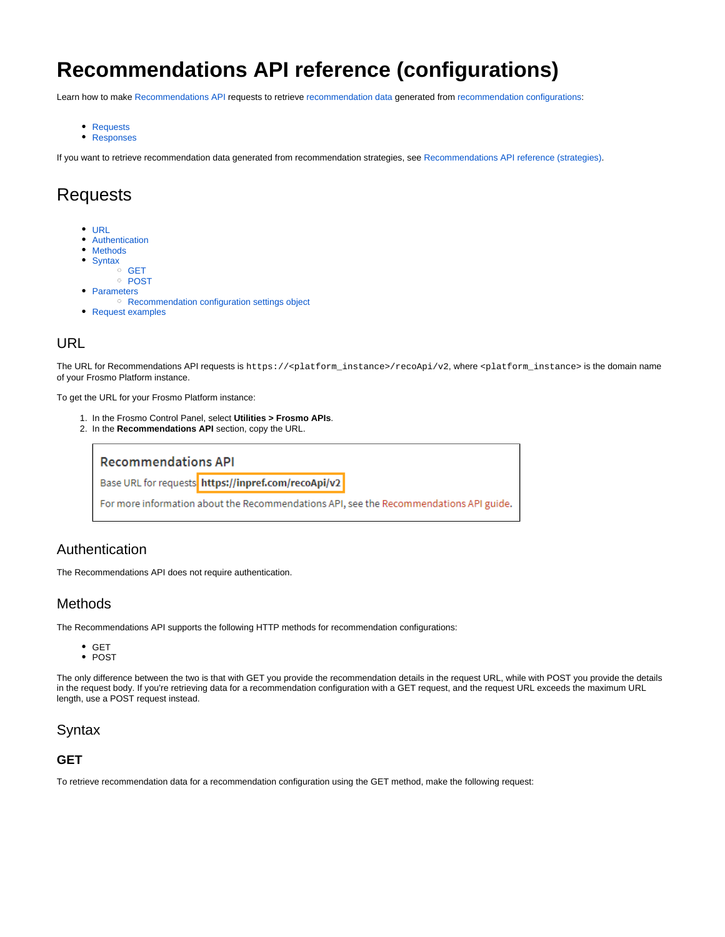# **Recommendations API reference (configurations)**

Learn how to make [Recommendations API](https://docs.frosmo.com/display/dev/Recommendations+API) requests to retrieve [recommendation data](https://docs.frosmo.com/display/platform/Glossary#Glossary-reco_data) generated from [recommendation configurations](https://docs.frosmo.com/display/platform/Feature%3A+Recommendation+configuration):

- [Requests](#page-0-0)
- [Responses](#page-7-0)

If you want to retrieve recommendation data generated from recommendation strategies, see [Recommendations API reference \(strategies\)](https://docs.frosmo.com/pages/viewpage.action?pageId=48238414).

# <span id="page-0-0"></span>Requests

- [URL](#page-0-1)
- [Authentication](#page-0-2)
- $\bullet$ **[Methods](#page-0-3)**
- [Syntax](#page-0-4)
- <sup>o</sup> [GET](#page-0-5) <sup>o</sup> [POST](#page-1-0)
- [Parameters](#page-1-1)
- <sup>o</sup> [Recommendation configuration settings object](#page-2-0)
- [Request examples](#page-6-0)

## <span id="page-0-1"></span>URL

The URL for Recommendations API requests is https://<platform\_instance>/recoApi/v2, where <platform\_instance> is the domain name of your Frosmo Platform instance.

To get the URL for your Frosmo Platform instance:

- 1. In the Frosmo Control Panel, select **Utilities > Frosmo APIs**.
- 2. In the **Recommendations API** section, copy the URL.



### <span id="page-0-2"></span>Authentication

The Recommendations API does not require authentication.

### <span id="page-0-3"></span>Methods

The Recommendations API supports the following HTTP methods for recommendation configurations:

- GET
- POST

The only difference between the two is that with GET you provide the recommendation details in the request URL, while with POST you provide the details in the request body. If you're retrieving data for a recommendation configuration with a GET request, and the request URL exceeds the maximum URL length, use a POST request instead.

## <span id="page-0-4"></span>**Syntax**

### <span id="page-0-5"></span>**GET**

To retrieve recommendation data for a recommendation configuration using the GET method, make the following request: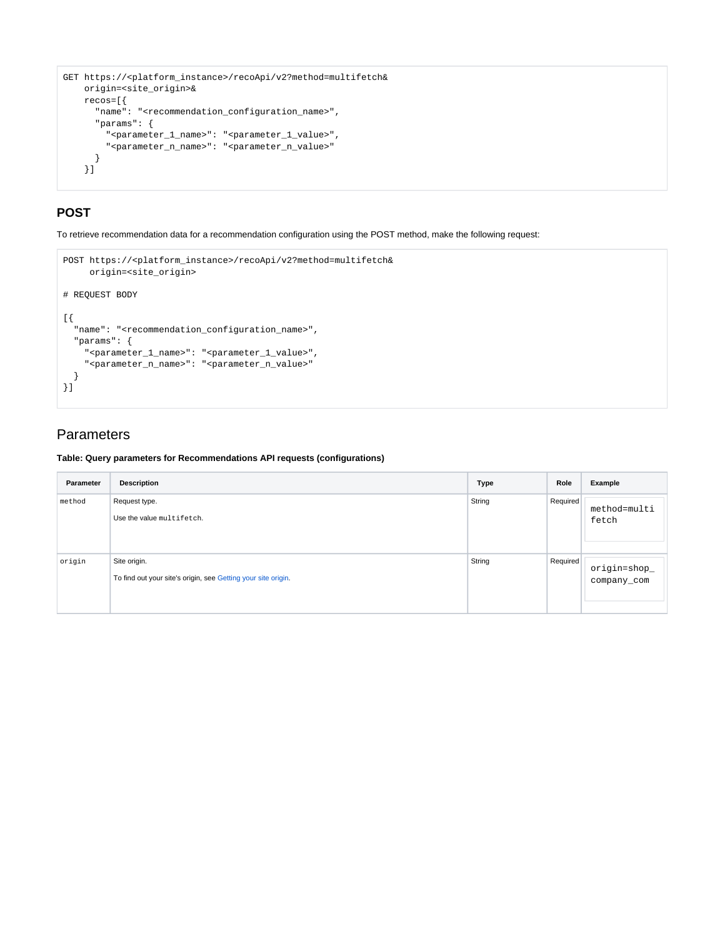```
GET https://<platform_instance>/recoApi/v2?method=multifetch&
    origin=<site_origin>&
    recos=[{
      "name": "<recommendation_configuration_name>",
       "params": {
         "<parameter_1_name>": "<parameter_1_value>",
        "<parameter_n_name>": "<parameter_n_value>"
       }
     }]
```
## <span id="page-1-0"></span>**POST**

To retrieve recommendation data for a recommendation configuration using the POST method, make the following request:

```
POST https://<platform_instance>/recoApi/v2?method=multifetch&
     origin=<site_origin>
# REQUEST BODY
[{
   "name": "<recommendation_configuration_name>",
   "params": {
     "<parameter_1_name>": "<parameter_1_value>",
     "<parameter_n_name>": "<parameter_n_value>"
  }
}]
```
# <span id="page-1-1"></span>**Parameters**

**Table: Query parameters for Recommendations API requests (configurations)**

| Parameter | <b>Description</b>                                                            | <b>Type</b> | Role     | Example                     |
|-----------|-------------------------------------------------------------------------------|-------------|----------|-----------------------------|
| method    | Request type.<br>Use the value multifetch.                                    | String      | Required | method=multi<br>fetch       |
| origin    | Site origin.<br>To find out your site's origin, see Getting your site origin. | String      | Required | origin=shop_<br>company_com |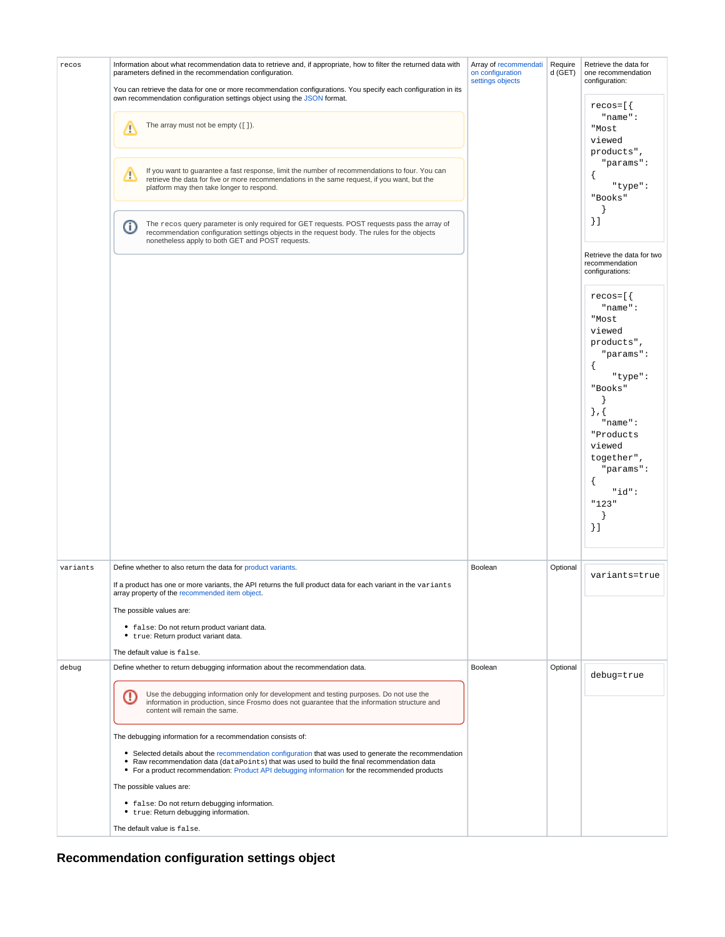| recos    | Information about what recommendation data to retrieve and, if appropriate, how to filter the returned data with<br>parameters defined in the recommendation configuration.<br>You can retrieve the data for one or more recommendation configurations. You specify each configuration in its           | Array of recommendati<br>on configuration<br>settings objects | Require<br>d (GET) | Retrieve the data for<br>one recommendation<br>configuration:                                                                                                                                    |
|----------|---------------------------------------------------------------------------------------------------------------------------------------------------------------------------------------------------------------------------------------------------------------------------------------------------------|---------------------------------------------------------------|--------------------|--------------------------------------------------------------------------------------------------------------------------------------------------------------------------------------------------|
|          | own recommendation configuration settings object using the JSON format.<br>The array must not be empty ([]).<br>∕                                                                                                                                                                                       |                                                               |                    | $recos=[$<br>$"name"$ :<br>"Most<br>viewed                                                                                                                                                       |
|          | If you want to guarantee a fast response, limit the number of recommendations to four. You can<br>Δ<br>retrieve the data for five or more recommendations in the same request, if you want, but the<br>platform may then take longer to respond.                                                        |                                                               |                    | products",<br>"params":<br>"type":<br>"Books"                                                                                                                                                    |
|          | The recos query parameter is only required for GET requests. POST requests pass the array of<br>⋒<br>recommendation configuration settings objects in the request body. The rules for the objects<br>nonetheless apply to both GET and POST requests.                                                   |                                                               |                    | $\}$ ]<br>Retrieve the data for two                                                                                                                                                              |
|          |                                                                                                                                                                                                                                                                                                         |                                                               |                    | recommendation<br>configurations:                                                                                                                                                                |
|          |                                                                                                                                                                                                                                                                                                         |                                                               |                    | $recos=[$<br>"name":<br>"Most<br>viewed<br>products",<br>"params":<br>"type":<br>"Books"<br>$\}$ , {<br>$"name"$ :<br>"Products<br>viewed<br>together",<br>"params":<br>"id":<br>"123"<br>$\}$ ] |
| variants | Define whether to also return the data for product variants.                                                                                                                                                                                                                                            | Boolean                                                       | Optional           | variants=true                                                                                                                                                                                    |
|          | If a product has one or more variants, the API returns the full product data for each variant in the variants<br>array property of the recommended item object.                                                                                                                                         |                                                               |                    |                                                                                                                                                                                                  |
|          | The possible values are:<br>• false: Do not return product variant data.                                                                                                                                                                                                                                |                                                               |                    |                                                                                                                                                                                                  |
|          | • true: Return product variant data.<br>The default value is false.                                                                                                                                                                                                                                     |                                                               |                    |                                                                                                                                                                                                  |
| debug    | Define whether to return debugging information about the recommendation data.                                                                                                                                                                                                                           | Boolean                                                       | Optional           | debug=true                                                                                                                                                                                       |
|          | Use the debugging information only for development and testing purposes. Do not use the<br>O<br>information in production, since Frosmo does not guarantee that the information structure and<br>content will remain the same.                                                                          |                                                               |                    |                                                                                                                                                                                                  |
|          | The debugging information for a recommendation consists of:                                                                                                                                                                                                                                             |                                                               |                    |                                                                                                                                                                                                  |
|          | • Selected details about the recommendation configuration that was used to generate the recommendation<br>• Raw recommendation data (dataPoints) that was used to build the final recommendation data<br>• For a product recommendation: Product API debugging information for the recommended products |                                                               |                    |                                                                                                                                                                                                  |
|          | The possible values are:                                                                                                                                                                                                                                                                                |                                                               |                    |                                                                                                                                                                                                  |
|          | • false: Do not return debugging information.<br>• true: Return debugging information.                                                                                                                                                                                                                  |                                                               |                    |                                                                                                                                                                                                  |
|          | The default value is false.                                                                                                                                                                                                                                                                             |                                                               |                    |                                                                                                                                                                                                  |

<span id="page-2-0"></span>**Recommendation configuration settings object**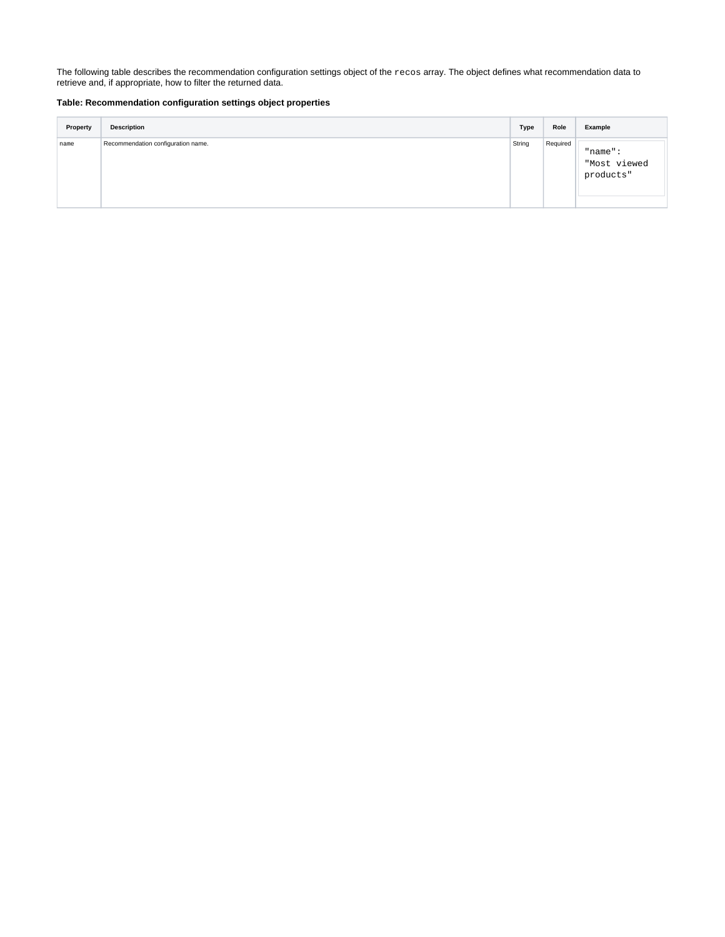The following table describes the recommendation configuration settings object of the recos array. The object defines what recommendation data to retrieve and, if appropriate, how to filter the returned data.

#### **Table: Recommendation configuration settings object properties**

| Property | <b>Description</b>                 | <b>Type</b> | Role     | Example                                 |
|----------|------------------------------------|-------------|----------|-----------------------------------------|
| name     | Recommendation configuration name. | String      | Required | $"name"$ :<br>"Most viewed<br>products" |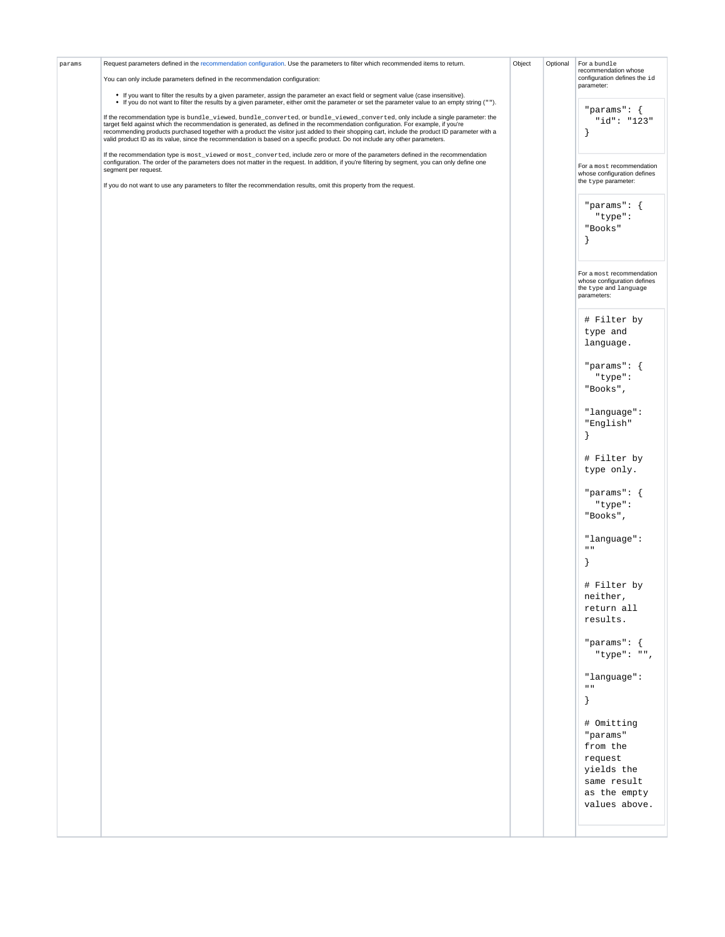| params | Request parameters defined in the recommendation configuration. Use the parameters to filter which recommended items to return.                                                                                                                                                                                                                                                                                                                                                                                                                         | Object | Optional | For a bundle                                                                                     |
|--------|---------------------------------------------------------------------------------------------------------------------------------------------------------------------------------------------------------------------------------------------------------------------------------------------------------------------------------------------------------------------------------------------------------------------------------------------------------------------------------------------------------------------------------------------------------|--------|----------|--------------------------------------------------------------------------------------------------|
|        | You can only include parameters defined in the recommendation configuration:                                                                                                                                                                                                                                                                                                                                                                                                                                                                            |        |          | recommendation whose<br>configuration defines the id<br>parameter:                               |
|        | • If you want to filter the results by a given parameter, assign the parameter an exact field or segment value (case insensitive).<br>• If you do not want to filter the results by a given parameter, either omit the parameter or set the parameter value to an empty string ("").                                                                                                                                                                                                                                                                    |        |          |                                                                                                  |
|        | If the recommendation type is bundle_viewed, bundle_converted, or bundle_viewed_converted, only include a single parameter: the<br>target field against which the recommendation is generated, as defined in the recommendation configuration. For example, if you're<br>recommending products purchased together with a product the visitor just added to their shopping cart, include the product ID parameter with a<br>valid product ID as its value, since the recommendation is based on a specific product. Do not include any other parameters. |        |          | "params": $\{$<br>"id": "123"<br>λ                                                               |
|        | If the recommendation type is most_viewed or most_converted, include zero or more of the parameters defined in the recommendation<br>configuration. The order of the parameters does not matter in the request. In addition, if you're filtering by segment, you can only define one<br>segment per request.                                                                                                                                                                                                                                            |        |          | For a most recommendation<br>whose configuration defines<br>the type parameter:                  |
|        | If you do not want to use any parameters to filter the recommendation results, omit this property from the request.                                                                                                                                                                                                                                                                                                                                                                                                                                     |        |          |                                                                                                  |
|        |                                                                                                                                                                                                                                                                                                                                                                                                                                                                                                                                                         |        |          | "params": $\{$<br>"type":<br>"Books"<br>ł                                                        |
|        |                                                                                                                                                                                                                                                                                                                                                                                                                                                                                                                                                         |        |          | For a most recommendation<br>whose configuration defines<br>the type and language<br>parameters: |
|        |                                                                                                                                                                                                                                                                                                                                                                                                                                                                                                                                                         |        |          | # Filter by<br>type and<br>language.                                                             |
|        |                                                                                                                                                                                                                                                                                                                                                                                                                                                                                                                                                         |        |          | "params": $\{$<br>"type":<br>"Books",                                                            |
|        |                                                                                                                                                                                                                                                                                                                                                                                                                                                                                                                                                         |        |          | "language":<br>"English"<br>$\mathcal{F}$                                                        |
|        |                                                                                                                                                                                                                                                                                                                                                                                                                                                                                                                                                         |        |          | # Filter by<br>type only.                                                                        |
|        |                                                                                                                                                                                                                                                                                                                                                                                                                                                                                                                                                         |        |          | "params": $\{$<br>"type":<br>"Books",                                                            |
|        |                                                                                                                                                                                                                                                                                                                                                                                                                                                                                                                                                         |        |          | "language":<br>$\mathbf{u}$                                                                      |
|        |                                                                                                                                                                                                                                                                                                                                                                                                                                                                                                                                                         |        |          | # Filter by<br>neither,<br>return all<br>results.                                                |
|        |                                                                                                                                                                                                                                                                                                                                                                                                                                                                                                                                                         |        |          | "params": $\{$<br>"type": "",                                                                    |
|        |                                                                                                                                                                                                                                                                                                                                                                                                                                                                                                                                                         |        |          | "language":<br>$\mathbf{u}$ . $\mathbf{u}$<br><sup>}</sup>                                       |
|        |                                                                                                                                                                                                                                                                                                                                                                                                                                                                                                                                                         |        |          | # Omitting<br>"params"                                                                           |
|        |                                                                                                                                                                                                                                                                                                                                                                                                                                                                                                                                                         |        |          | from the<br>request<br>yields the<br>same result<br>as the empty                                 |
|        |                                                                                                                                                                                                                                                                                                                                                                                                                                                                                                                                                         |        |          | values above.                                                                                    |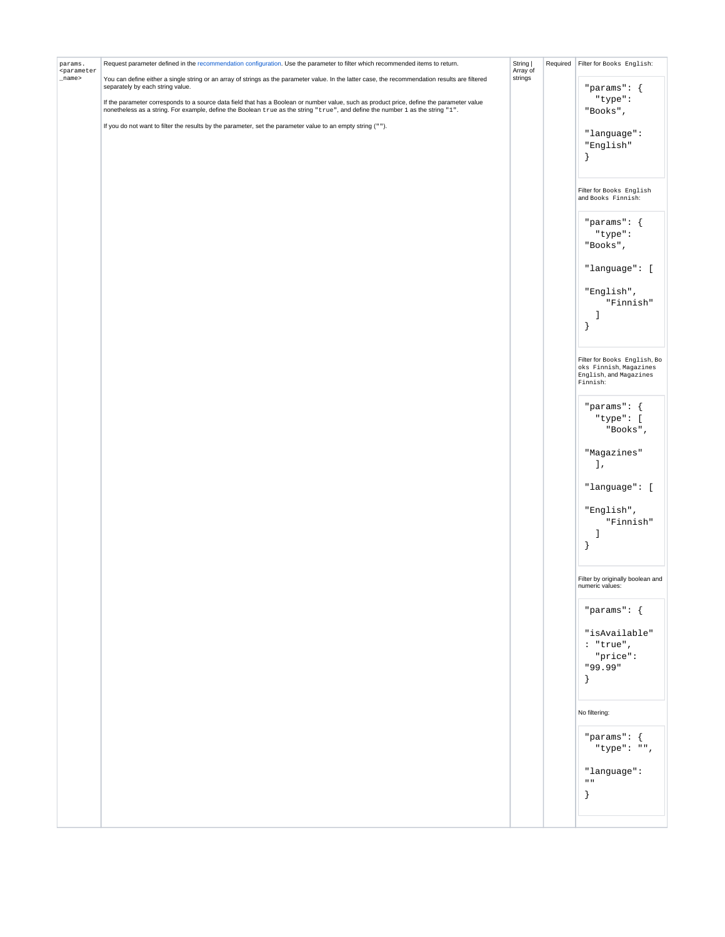| params.<br><parameter< th=""><th>Request parameter defined in the recommendation configuration. Use the parameter to filter which recommended items to return.</th><th>String  <br/>Array of</th><th>Required   Filter for Books English:</th></parameter<> | Request parameter defined in the recommendation configuration. Use the parameter to filter which recommended items to return.                                                                                                                                               | String  <br>Array of | Required   Filter for Books English:                         |
|-------------------------------------------------------------------------------------------------------------------------------------------------------------------------------------------------------------------------------------------------------------|-----------------------------------------------------------------------------------------------------------------------------------------------------------------------------------------------------------------------------------------------------------------------------|----------------------|--------------------------------------------------------------|
| _name>                                                                                                                                                                                                                                                      | You can define either a single string or an array of strings as the parameter value. In the latter case, the recommendation results are filtered<br>separately by each string value.                                                                                        | strings              | "params": $\{$                                               |
|                                                                                                                                                                                                                                                             | If the parameter corresponds to a source data field that has a Boolean or number value, such as product price, define the parameter value<br>nonetheless as a string. For example, define the Boolean true as the string "true", and define the number 1 as the string "1". |                      | "type":<br>"Books",                                          |
|                                                                                                                                                                                                                                                             | If you do not want to filter the results by the parameter, set the parameter value to an empty string ("").                                                                                                                                                                 |                      | "language":                                                  |
|                                                                                                                                                                                                                                                             |                                                                                                                                                                                                                                                                             |                      | "English"                                                    |
|                                                                                                                                                                                                                                                             |                                                                                                                                                                                                                                                                             |                      | ł                                                            |
|                                                                                                                                                                                                                                                             |                                                                                                                                                                                                                                                                             |                      |                                                              |
|                                                                                                                                                                                                                                                             |                                                                                                                                                                                                                                                                             |                      | Filter for Books English<br>and Books Finnish:               |
|                                                                                                                                                                                                                                                             |                                                                                                                                                                                                                                                                             |                      | "params": $\{$                                               |
|                                                                                                                                                                                                                                                             |                                                                                                                                                                                                                                                                             |                      | "type":<br>"Books",                                          |
|                                                                                                                                                                                                                                                             |                                                                                                                                                                                                                                                                             |                      | "language": [                                                |
|                                                                                                                                                                                                                                                             |                                                                                                                                                                                                                                                                             |                      | "English",<br>"Finnish"                                      |
|                                                                                                                                                                                                                                                             |                                                                                                                                                                                                                                                                             |                      | ı                                                            |
|                                                                                                                                                                                                                                                             |                                                                                                                                                                                                                                                                             |                      | ł                                                            |
|                                                                                                                                                                                                                                                             |                                                                                                                                                                                                                                                                             |                      | Filter for Books English, Bo                                 |
|                                                                                                                                                                                                                                                             |                                                                                                                                                                                                                                                                             |                      | oks Finnish, Magazines<br>English, and Magazines<br>Finnish: |
|                                                                                                                                                                                                                                                             |                                                                                                                                                                                                                                                                             |                      | "params": $\{$                                               |
|                                                                                                                                                                                                                                                             |                                                                                                                                                                                                                                                                             |                      | "type": [<br>"Books",                                        |
|                                                                                                                                                                                                                                                             |                                                                                                                                                                                                                                                                             |                      | "Magazines"<br><b>J</b> ,                                    |
|                                                                                                                                                                                                                                                             |                                                                                                                                                                                                                                                                             |                      | "language": [                                                |
|                                                                                                                                                                                                                                                             |                                                                                                                                                                                                                                                                             |                      | "English",                                                   |
|                                                                                                                                                                                                                                                             |                                                                                                                                                                                                                                                                             |                      | "Finnish"<br>1                                               |
|                                                                                                                                                                                                                                                             |                                                                                                                                                                                                                                                                             |                      | ł                                                            |
|                                                                                                                                                                                                                                                             |                                                                                                                                                                                                                                                                             |                      | Filter by originally boolean and<br>numeric values:          |
|                                                                                                                                                                                                                                                             |                                                                                                                                                                                                                                                                             |                      | "params": $\{$                                               |
|                                                                                                                                                                                                                                                             |                                                                                                                                                                                                                                                                             |                      | "isAvailable"<br>: "true",<br>"price":<br>"99.99"<br>$\}$    |
|                                                                                                                                                                                                                                                             |                                                                                                                                                                                                                                                                             |                      | No filtering:                                                |
|                                                                                                                                                                                                                                                             |                                                                                                                                                                                                                                                                             |                      | "params": $\{$<br>"type": "",                                |
|                                                                                                                                                                                                                                                             |                                                                                                                                                                                                                                                                             |                      | "language":                                                  |
|                                                                                                                                                                                                                                                             |                                                                                                                                                                                                                                                                             |                      | $\mathbf{u}$<br>$\}$                                         |
|                                                                                                                                                                                                                                                             |                                                                                                                                                                                                                                                                             |                      |                                                              |
|                                                                                                                                                                                                                                                             |                                                                                                                                                                                                                                                                             |                      |                                                              |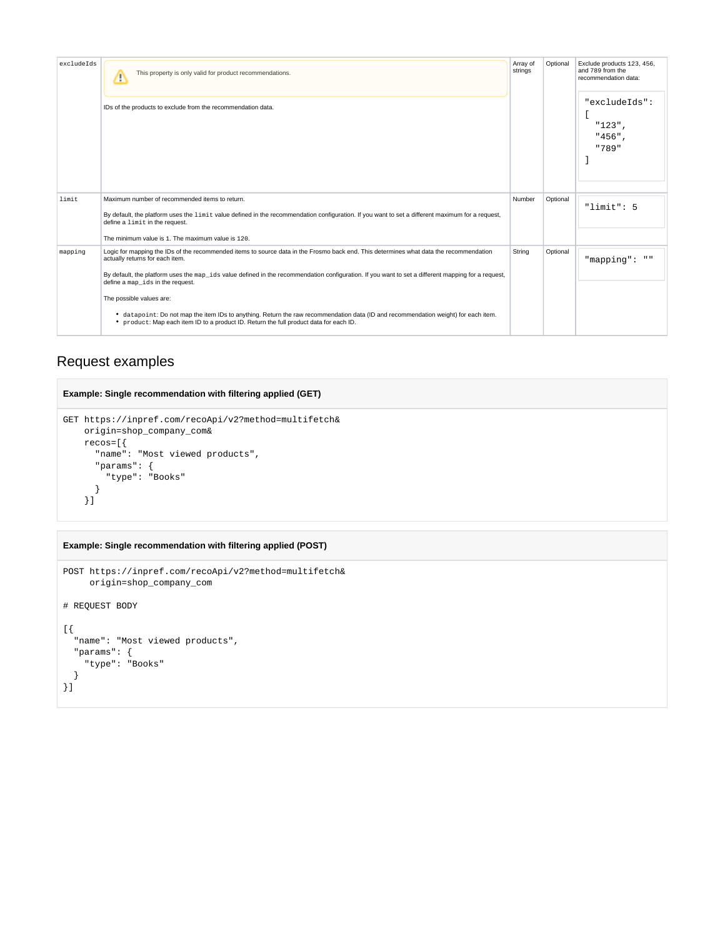| excludeIds | This property is only valid for product recommendations.<br>Δ<br>IDs of the products to exclude from the recommendation data.                                                                                                                                                                                                                                                                                                                                                                                                                                                                                                   | Array of<br>Optional<br>strings |          | Exclude products 123, 456,<br>and 789 from the<br>recommendation data:<br>"excludeIds":<br>$"123"$ ,<br>"456".<br>"789" |
|------------|---------------------------------------------------------------------------------------------------------------------------------------------------------------------------------------------------------------------------------------------------------------------------------------------------------------------------------------------------------------------------------------------------------------------------------------------------------------------------------------------------------------------------------------------------------------------------------------------------------------------------------|---------------------------------|----------|-------------------------------------------------------------------------------------------------------------------------|
| limit      | Maximum number of recommended items to return.<br>By default, the platform uses the limit value defined in the recommendation configuration. If you want to set a different maximum for a request,<br>define a limit in the request.<br>The minimum value is 1. The maximum value is 120.                                                                                                                                                                                                                                                                                                                                       | Number                          | Optional | "limit": 5                                                                                                              |
| mapping    | Logic for mapping the IDs of the recommended items to source data in the Frosmo back end. This determines what data the recommendation<br>actually returns for each item.<br>By default, the platform uses the map_ids value defined in the recommendation configuration. If you want to set a different mapping for a request,<br>define a map ids in the request.<br>The possible values are:<br>• datapoint: Do not map the item IDs to anything. Return the raw recommendation data (ID and recommendation weight) for each item.<br>• product: Map each item ID to a product ID. Return the full product data for each ID. | String                          | Optional | "mapping": ""                                                                                                           |

# <span id="page-6-0"></span>Request examples

#### **Example: Single recommendation with filtering applied (GET)**

```
GET https://inpref.com/recoApi/v2?method=multifetch&
    origin=shop_company_com&
    recos=[{
      "name": "Most viewed products",
      "params": {
        "type": "Books"
      }
     }]
```
#### **Example: Single recommendation with filtering applied (POST)**

```
POST https://inpref.com/recoApi/v2?method=multifetch&
      origin=shop_company_com
# REQUEST BODY
\left[ \ \right] "name": "Most viewed products",
  "params": {
     "type": "Books"
   }
}]
```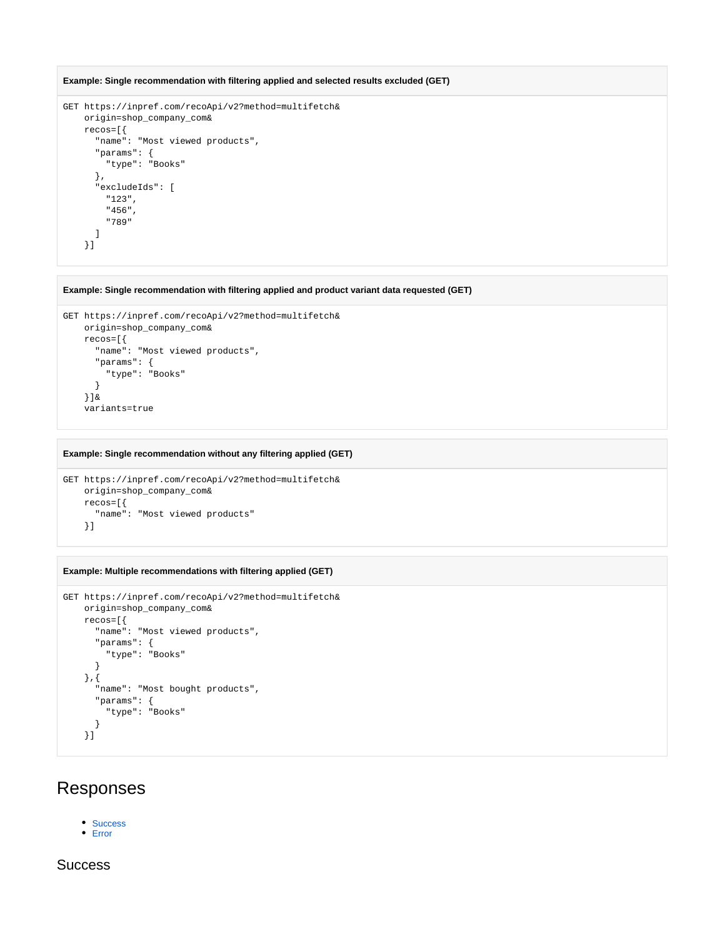```
Example: Single recommendation with filtering applied and selected results excluded (GET)
```

```
GET https://inpref.com/recoApi/v2?method=multifetch&
    origin=shop_company_com&
    recos=[{
       "name": "Most viewed products",
      "params": {
        "type": "Books"
       },
       "excludeIds": [
        "123",
        "456",
        "789"
       ]
     }]
```
**Example: Single recommendation with filtering applied and product variant data requested (GET)**

```
GET https://inpref.com/recoApi/v2?method=multifetch&
    origin=shop_company_com&
    recos=[{
      "name": "Most viewed products",
      "params": {
        "type": "Books"
      }
    }]&
     variants=true
```
#### **Example: Single recommendation without any filtering applied (GET)**

```
GET https://inpref.com/recoApi/v2?method=multifetch&
    origin=shop_company_com&
    recos=[{
       "name": "Most viewed products"
     }]
```
#### **Example: Multiple recommendations with filtering applied (GET)**

```
GET https://inpref.com/recoApi/v2?method=multifetch&
    origin=shop_company_com&
    recos=[{
       "name": "Most viewed products",
       "params": {
        "type": "Books"
       }
     },{
       "name": "Most bought products",
      "params": {
        "type": "Books"
       }
     }]
```
# <span id="page-7-0"></span>Responses

- [Success](#page-7-1)
- [Error](#page-12-0)

### <span id="page-7-1"></span>**Success**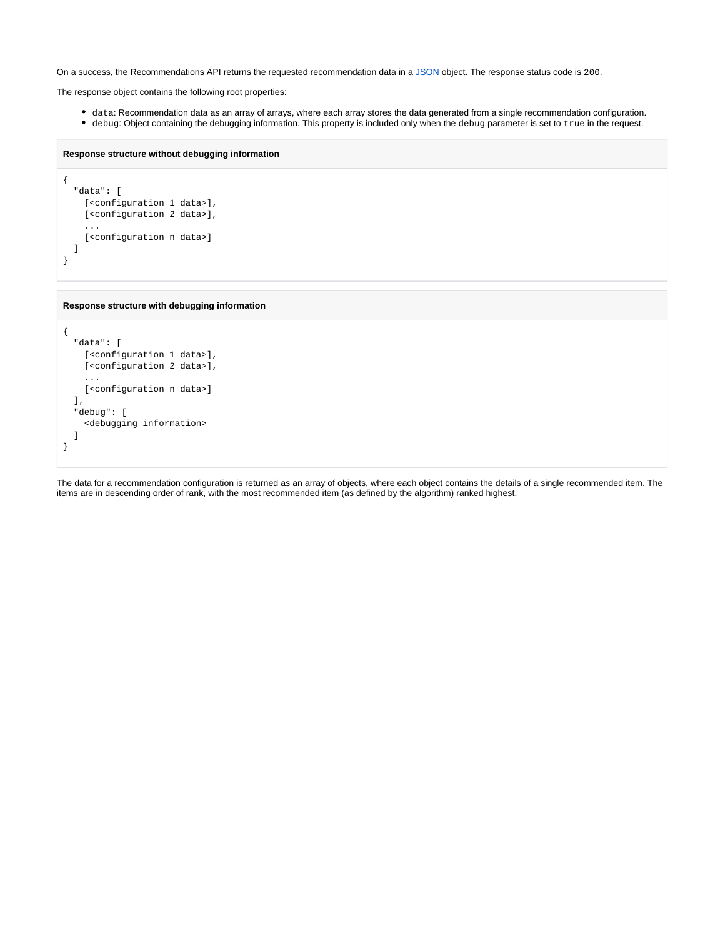On a success, the Recommendations API returns the requested recommendation data in a [JSON](https://www.json.org/) object. The response status code is 200.

The response object contains the following root properties:

- data: Recommendation data as an array of arrays, where each array stores the data generated from a single recommendation configuration.
- debug: Object containing the debugging information. This property is included only when the debug parameter is set to true in the request.

```
Response structure without debugging information
```

```
{
   "data": [
     [<configuration 1 data>],
    [<configuration 2 data>],
     ...
     [<configuration n data>]
   ]
}
```
**Response structure with debugging information**

```
{
   "data": [
     [<configuration 1 data>],
    [<configuration 2 data>],
     ...
     [<configuration n data>]
   ],
   "debug": [
     <debugging information>
   ]
}
```
The data for a recommendation configuration is returned as an array of objects, where each object contains the details of a single recommended item. The items are in descending order of rank, with the most recommended item (as defined by the algorithm) ranked highest.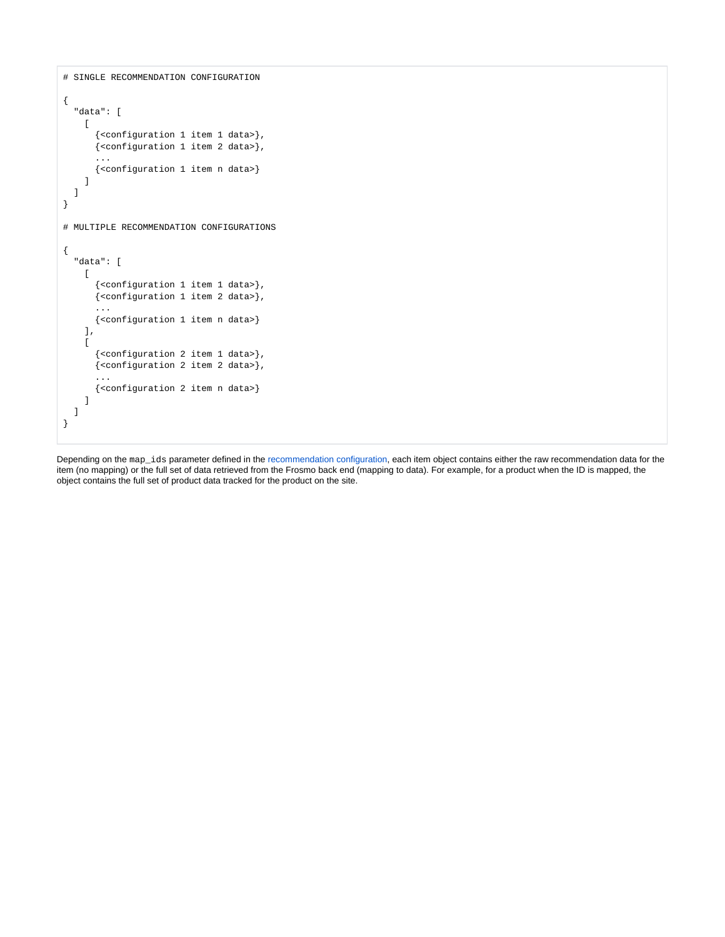```
# SINGLE RECOMMENDATION CONFIGURATION
{
   "data": [
    \lceil {<configuration 1 item 1 data>},
       {<configuration 1 item 2 data>},
       ...
       {<configuration 1 item n data>}
     ]
   ]
}
# MULTIPLE RECOMMENDATION CONFIGURATIONS
{
   "data": [
    \lceil {<configuration 1 item 1 data>},
       {<configuration 1 item 2 data>},
       ...
       {<configuration 1 item n data>}
     ],
    \lceil {<configuration 2 item 1 data>},
       {<configuration 2 item 2 data>},
       ...
       {<configuration 2 item n data>}
     ]
   ]
}
```
Depending on the map\_ids parameter defined in the [recommendation configuration](https://docs.frosmo.com/display/dev/Recommendation+configuration+reference), each item object contains either the raw recommendation data for the item (no mapping) or the full set of data retrieved from the Frosmo back end (mapping to data). For example, for a product when the ID is mapped, the object contains the full set of product data tracked for the product on the site.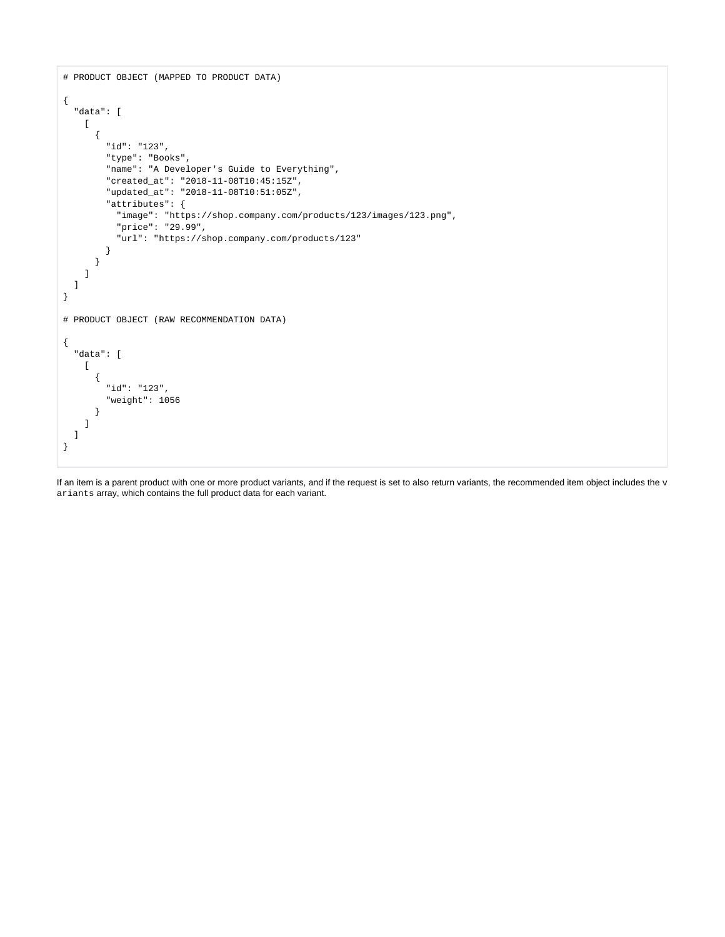```
# PRODUCT OBJECT (MAPPED TO PRODUCT DATA)
{
   "data": [
   \lceil {
         "id": "123",
        "type": "Books",
         "name": "A Developer's Guide to Everything",
         "created_at": "2018-11-08T10:45:15Z",
         "updated_at": "2018-11-08T10:51:05Z",
         "attributes": {
           "image": "https://shop.company.com/products/123/images/123.png",
           "price": "29.99",
           "url": "https://shop.company.com/products/123"
         }
       }
    ]
  ]
}
# PRODUCT OBJECT (RAW RECOMMENDATION DATA)
{
   "data": [
   \mathbb{I} {
         "id": "123",
         "weight": 1056
       }
    ]
  ]
}
```
If an item is a parent product with one or more product variants, and if the request is set to also return variants, the recommended item object includes the  $v$ ariants array, which contains the full product data for each variant.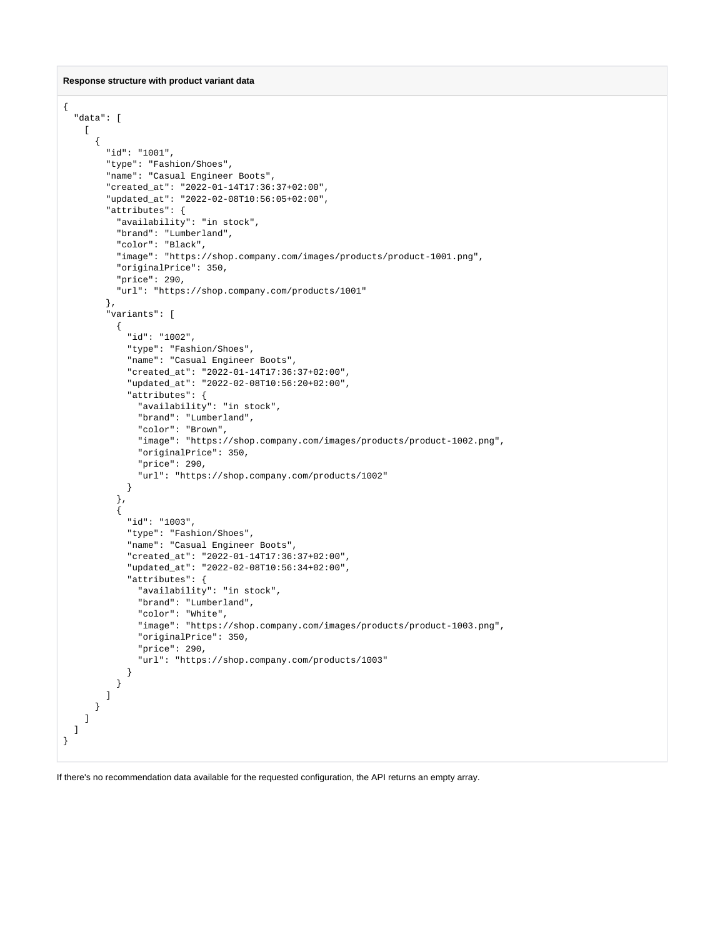#### **Response structure with product variant data**

```
{
   "data": [
   \blacksquare {
         "id": "1001",
         "type": "Fashion/Shoes",
         "name": "Casual Engineer Boots",
         "created_at": "2022-01-14T17:36:37+02:00",
         "updated_at": "2022-02-08T10:56:05+02:00",
         "attributes": {
           "availability": "in stock",
           "brand": "Lumberland",
           "color": "Black",
           "image": "https://shop.company.com/images/products/product-1001.png",
           "originalPrice": 350,
           "price": 290,
           "url": "https://shop.company.com/products/1001"
         },
         "variants": [
           {
             "id": "1002",
             "type": "Fashion/Shoes",
             "name": "Casual Engineer Boots",
             "created_at": "2022-01-14T17:36:37+02:00",
             "updated_at": "2022-02-08T10:56:20+02:00",
             "attributes": {
                "availability": "in stock",
               "brand": "Lumberland",
                "color": "Brown",
               "image": "https://shop.company.com/images/products/product-1002.png",
               "originalPrice": 350,
               "price": 290,
                "url": "https://shop.company.com/products/1002"
             }
           },
           {
             "id": "1003",
             "type": "Fashion/Shoes",
             "name": "Casual Engineer Boots",
              "created_at": "2022-01-14T17:36:37+02:00",
              "updated_at": "2022-02-08T10:56:34+02:00",
              "attributes": {
                "availability": "in stock",
               "brand": "Lumberland",
               "color": "White",
                "image": "https://shop.company.com/images/products/product-1003.png",
                "originalPrice": 350,
                "price": 290,
                "url": "https://shop.company.com/products/1003"
             }
           }
        ]
       }
    ]
  ]
}
```
If there's no recommendation data available for the requested configuration, the API returns an empty array.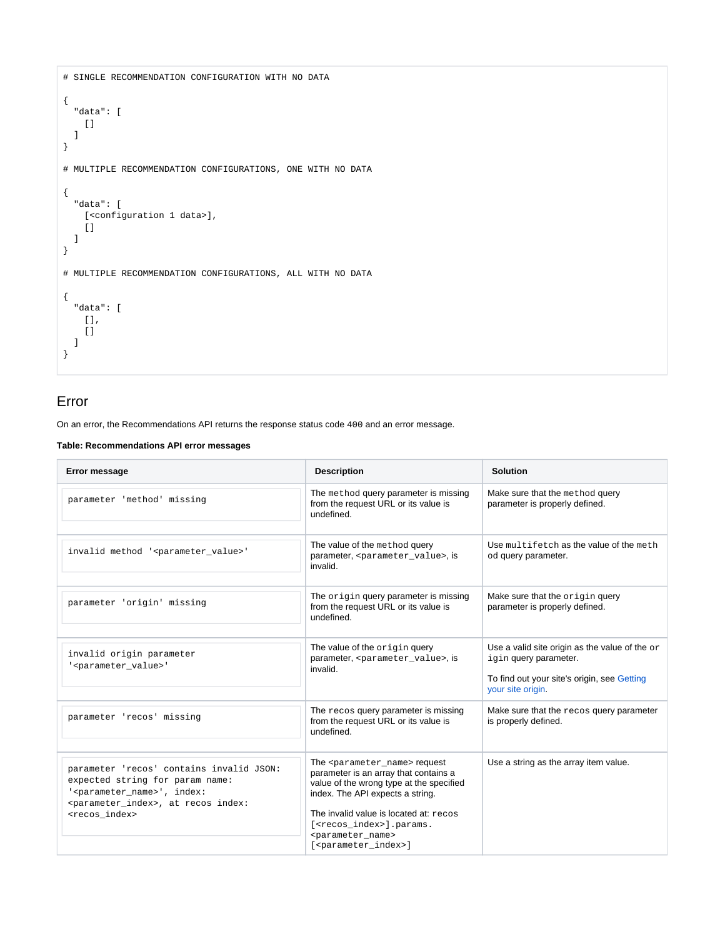```
# SINGLE RECOMMENDATION CONFIGURATION WITH NO DATA
{
  "data": [
   [] ]
}
# MULTIPLE RECOMMENDATION CONFIGURATIONS, ONE WITH NO DATA
{
  "data": [
   [<configuration 1 data>],
   \lceil ]
  ]
}
# MULTIPLE RECOMMENDATION CONFIGURATIONS, ALL WITH NO DATA
{
  "data": [
    [],
   [] ]
}
```
### <span id="page-12-0"></span>Error

On an error, the Recommendations API returns the response status code 400 and an error message.

**Table: Recommendations API error messages**

| <b>Error message</b>                                                                                                                                                                                              | <b>Description</b>                                                                                                                                                                                                                                                                                                                      | <b>Solution</b>                                                                                                                                    |
|-------------------------------------------------------------------------------------------------------------------------------------------------------------------------------------------------------------------|-----------------------------------------------------------------------------------------------------------------------------------------------------------------------------------------------------------------------------------------------------------------------------------------------------------------------------------------|----------------------------------------------------------------------------------------------------------------------------------------------------|
| parameter 'method' missing                                                                                                                                                                                        | The method query parameter is missing<br>from the request URL or its value is<br>undefined.                                                                                                                                                                                                                                             | Make sure that the method query<br>parameter is properly defined.                                                                                  |
| invalid method ' <parameter_value>'</parameter_value>                                                                                                                                                             | The value of the method query<br>parameter, <parameter value="">, is<br/>invalid.</parameter>                                                                                                                                                                                                                                           | Use multifetch as the value of the meth<br>od query parameter.                                                                                     |
| parameter 'origin' missing                                                                                                                                                                                        | The origin query parameter is missing<br>from the request URL or its value is<br>undefined.                                                                                                                                                                                                                                             | Make sure that the origin query<br>parameter is properly defined.                                                                                  |
| invalid origin parameter<br>' <parameter value="">'</parameter>                                                                                                                                                   | The value of the origin query<br>parameter, <parameter value="">, is<br/>invalid.</parameter>                                                                                                                                                                                                                                           | Use a valid site origin as the value of the $\circ$ r<br>igin query parameter.<br>To find out your site's origin, see Getting<br>your site origin. |
| parameter 'recos' missing                                                                                                                                                                                         | The recos query parameter is missing<br>from the request URL or its value is<br>undefined.                                                                                                                                                                                                                                              | Make sure that the recos query parameter<br>is properly defined.                                                                                   |
| parameter 'recos' contains invalid JSON:<br>expected string for param name:<br>' <parameter_name>', index:<br/><parameter_index>, at recos index:<br/><recos index=""></recos></parameter_index></parameter_name> | The <parameter name=""> request<br/>parameter is an array that contains a<br/>value of the wrong type at the specified<br/>index. The API expects a string.<br/>The invalid value is located at: recos<br/>[<recos index="">].params.<br/><parameter name=""><br/>[<parameter_index>]</parameter_index></parameter></recos></parameter> | Use a string as the array item value.                                                                                                              |